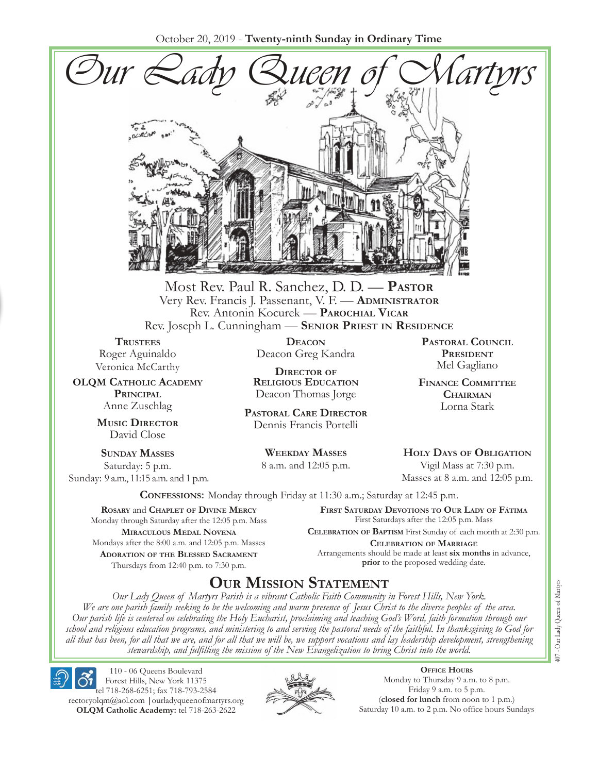October 20, 2019 - **Twenty-ninth Sunday in Ordinary Time**



Most Rev. Paul R. Sanchez, D. D. — **Pastor** Very Rev. Francis J. Passenant, V. F. — **Administrator** Rev. Antonin Kocurek — **Parochial Vicar** Rev. Joseph L. Cunningham — **Senior Priest in Residence**

**TRUSTEES** Roger Aguinaldo Veronica McCarthy

**OLQM Catholic Academy Principal** Anne Zuschlag

> **Music Director** David Close

**Sunday Masses** Saturday: 5 p.m. Sunday: 9 a.m., 11:15 a.m. and 1 p.m.

**Deacon** Deacon Greg Kandra

**Director of Religious Education** Deacon Thomas Jorge

**Pastoral Care Director** Dennis Francis Portelli

> **Weekday Masses** 8 a.m. and 12:05 p.m.

**Pastoral Council President** Mel Gagliano

**Finance Committee Chairman** Lorna Stark

**Holy Days of Obligation** Vigil Mass at 7:30 p.m.

Masses at 8 a.m. and 12:05 p.m.

**Confessions:** Monday through Friday at 11:30 a.m.; Saturday at 12:45 p.m.

**Rosary** and **Chaplet of Divine Mercy** Monday through Saturday after the 12:05 p.m. Mass **Miraculous Medal Novena** Mondays after the 8:00 a.m. and 12:05 p.m. Masses **Adoration of the Blessed Sacrament** Thursdays from 12:40 p.m. to 7:30 p.m.

**First Saturday Devotions to Our Lady of Fátima** First Saturdays after the 12:05 p.m. Mass

**Celebration of Baptism** First Sunday of each month at 2:30 p.m. **Celebration of Marriage** Arrangements should be made at least **six months** in advance, **prior** to the proposed wedding date.

## **Our Mission Statement**

*Our Lady Queen of Martyrs Parish is a vibrant Catholic Faith Community in Forest Hills, New York. We are one parish family seeking to be the welcoming and warm presence of Jesus Christ to the diverse peoples of the area. Our parish life is centered on celebrating the Holy Eucharist, proclaiming and teaching God's Word, faith formation through our school and religious education programs, and ministering to and serving the pastoral needs of the faithful. In thanksgiving to God for all that has been, for all that we are, and for all that we will be, we support vocations and lay leadership development, strengthening stewardship, and fulfilling the mission of the New Evangelization to bring Christ into the world.*

110 - 06 Queens Boulevard Forest Hills, New York 11375 tel 718-268-6251; fax 718-793-2584 rectoryolqm@aol.com **|**ourladyqueenofmartyrs.org **OLQM Catholic Academy:** tel 718-263-2622



**Office Hours** Monday to Thursday 9 a.m. to 8 p.m. Friday 9 a.m. to 5 p.m. (**closed for lunch** from noon to 1 p.m.) Saturday 10 a.m. to 2 p.m. No office hours Sundays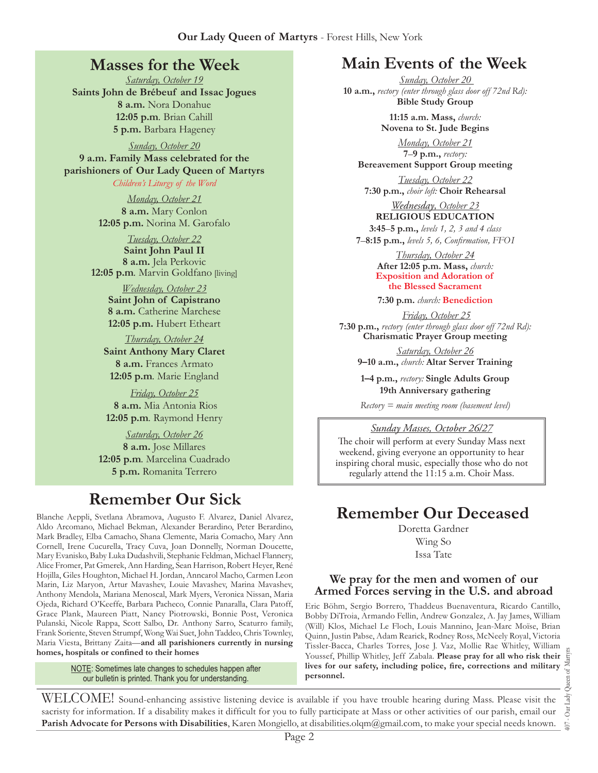## **Masses for the Week**

*Saturday, October 19* **Saints John de Brébeuf and Issac Jogues 8 a.m.** Nora Donahue **12:05 p.m***.* Brian Cahill **5 p.m.** Barbara Hageney

*Sunday, October 20* **9 a.m. Family Mass celebrated for the parishioners of Our Lady Queen of Martyrs**

*Children's Liturgy of the Word* 

*Monday, October 21* **8 a.m.** Mary Conlon **12:05 p.m.** Norina M. Garofalo

*Tuesday, October 22* **Saint John Paul II 8 a.m.** Jela Perkovic **12:05 p.m***.* Marvin Goldfano [living]

> *Wednesday, October 23* **Saint John of Capistrano 8 a.m.** Catherine Marchese **12:05 p.m.** Hubert Etheart

*Thursday, October 24* **Saint Anthony Mary Claret 8 a.m.** Frances Armato **12:05 p.m***.* Marie England

*Friday, October 25*  **8 a.m.** Mia Antonia Rios **12:05 p.m***.* Raymond Henry

*Saturday, October 26* **8 a.m.** Jose Millares **12:05 p.m***.* Marcelina Cuadrado **5 p.m.** Romanita Terrero

# **Remember Our Sick**

Aldo Arcomano, Michael Bekman, Alexander Berardino, Peter Berardino, Mark Bradley, Elba Camacho, Shana Clemente, Maria Comacho, Mary Ann Cornell, Irene Cucurella, Tracy Cuva, Joan Donnelly, Norman Doucette, Mary Evanisko, Baby Luka Dudashvili, Stephanie Feldman, Michael Flannery, Alice Fromer, Pat Gmerek, Ann Harding, Sean Harrison, Robert Heyer, René Hojilla, Giles Houghton, Michael H. Jordan, Anncarol Macho, Carmen Leon Marin, Liz Maryon, Artur Mavashev, Louie Mavashev, Marina Mavashev, Anthony Mendola, Mariana Menoscal, Mark Myers, Veronica Nissan, Maria Ojeda, Richard O'Keeffe, Barbara Pacheco, Connie Panaralla, Clara Patoff, Grace Plank, Maureen Piatt, Nancy Piotrowski, Bonnie Post, Veronica Pulanski, Nicole Rappa, Scott Salbo, Dr. Anthony Sarro, Scaturro family, Frank Soriente, Steven Strumpf, Wong Wai Suet, John Taddeo, Chris Townley, Maria Viesta, Brittany Zaita—**and all parishioners currently in nursing homes, hospitals or confined to their homes**

> **NOTE:** Sometimes late changes to schedules happen after our bulletin is printed. Thank you for understanding.

# **Main Events of the Week**

*Sunday, October 20*  **10 a.m.,** *rectory (enter through glass door off 72nd Rd):* **Bible Study Group**

> **11:15 a.m. Mass,** *church:*  **Novena to St. Jude Begins**

*Monday, October 21* **7**–**9 p.m.,** *rectory:*  **Bereavement Support Group meeting**

*Tuesday, October 22*

**7:30 p.m.,** *choir loft:* **Choir Rehearsal**

*Wednesday, October 23* **RELIGIOUS EDUCATION 3:45**–**5 p.m.,** *levels 1, 2, 3 and 4 class*

**7**–**8:15 p.m.,** *levels 5, 6, Confirmation, FFO  I*

*Thursday, October 24* **After 12:05 p.m. Mass,** *church:*  **Exposition and Adoration of the Blessed Sacrament**

**7:30 p.m.** *church:* **Benediction**

*Friday, October 25* **7:30 p.m.,** *rectory (enter through glass door off 72nd Rd):* **Charismatic Prayer Group meeting**

> *Saturday, October 26* **9–10 a.m.,** *church:* **Altar Server Training**

**1–4 p.m.,** *rectory:* **Single Adults Group 19th Anniversary gathering**

*Rectory = main meeting room (basement level)*

#### *Sunday Masses, October 26/27*

The choir will perform at every Sunday Mass next weekend, giving everyone an opportunity to hear inspiring choral music, especially those who do not regularly attend the 11:15 a.m. Choir Mass.

# Blanche Aeppli, Svetlana Abramova, Augusto F. Alvarez, Daniel Alvarez, **Remember Our Deceased**

Doretta Gardner

Wing So Issa Tate

#### **We pray for the men and women of our Armed Forces serving in the U.S. and abroad**

Eric Böhm, Sergio Borrero, Thaddeus Buenaventura, Ricardo Cantillo, Bobby DiTroia, Armando Fellin, Andrew Gonzalez, A. Jay James, William (Will) Klos, Michael Le Floch, Louis Mannino, Jean-Marc Moïse, Brian Quinn, Justin Pabse, Adam Rearick, Rodney Ross, McNeely Royal, Victoria Tissler-Bacca, Charles Torres, Jose J. Vaz, Mollie Rae Whitley, William Youssef, Phillip Whitley, Jeff Zabala. **Please pray for all who risk their lives for our safety, including police, fire, corrections and military personnel.**

407 - Our Lady Queen of Martyrs Our Lady 107.

WELCOME! Sound-enhancing assistive listening device is available if you have trouble hearing during Mass. Please visit the sacristy for information. If a disability makes it difficult for you to fully participate at Mass or other activities of our parish, email our **Parish Advocate for Persons with Disabilities**, Karen Mongiello, at disabilities.olqm@gmail.com, to make your special needs known.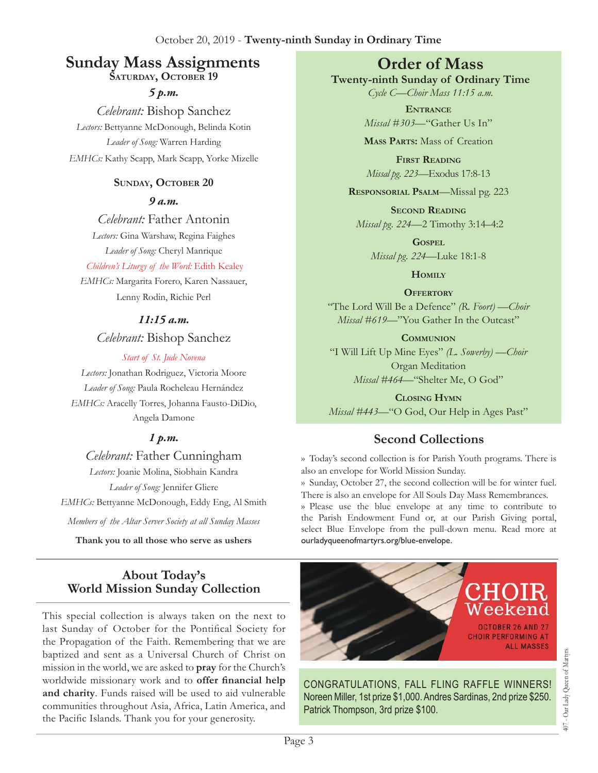# **Sunday Mass Assignments Order of Mass**

**ŠATURDAY, OCTOBER 19** 

*5 p.m. Celebrant:* Bishop Sanchez *Lectors:* Bettyanne McDonough, Belinda Kotin *Leader of Song:* Warren Harding *EMHCs:* Kathy Scapp, Mark Scapp, Yorke Mizelle

#### SUNDAY, OCTOBER 20

*9 a.m.* 

*Celebrant:* Father Antonin

*Lectors:* Gina Warshaw, Regina Faighes *Leader of Song:* Cheryl Manrique

*Children's Liturgy of the Word:* Edith Kealey

*EMHCs:* Margarita Forero, Karen Nassauer, Lenny Rodin, Richie Perl

#### *11:15 a.m.*

*Celebrant:* Bishop Sanchez

#### *Start of St. Jude Novena*

*Lectors:* Jonathan Rodriguez, Victoria Moore *Leader of Song:* Paula Rocheleau Hernández *EMHCs:* Aracelly Torres, Johanna Fausto-DiDio, Angela Damone

## *1 p.m.*

*Celebrant:* Father Cunningham *Lectors:* Joanie Molina, Siobhain Kandra *Leader of Song:* Jennifer Gliere *EMHCs:* Bettyanne McDonough, Eddy Eng, Al Smith

*Members of the Altar Server Society at all Sunday Masses*

**Thank you to all those who serve as ushers**

## **About Today's World Mission Sunday Collection**

This special collection is always taken on the next to last Sunday of October for the Pontifical Society for the Propagation of the Faith. Remembering that we are baptized and sent as a Universal Church of Christ on mission in the world, we are asked to **pray** for the Church's worldwide missionary work and to **offer financial help and charity**. Funds raised will be used to aid vulnerable communities throughout Asia, Africa, Latin America, and the Pacific Islands. Thank you for your generosity.

**Twenty-ninth Sunday of Ordinary Time** *Cycle C—Choir Mass 11:15 a.m.*

> **Entrance** *Missal #303—*"Gather Us In"

> **Mass Parts:** Mass of Creation

**First Reading** *Missal pg. 223—*Exodus 17:8-13

**Responsorial Psalm**—Missal pg. 223

**Second Reading** *Missal pg. 224—*2 Timothy 3:14–4:2

**Gospel** *Missal pg. 224—*Luke 18:1-8

**Homily**

**Offertory** "The Lord Will Be a Defence" *(R. Foort) —Choir Missal #619*—"You Gather In the Outcast"

**Communion** "I Will Lift Up Mine Eyes" *(L. Sowerby) —Choir*  Organ Meditation *Missal #464—*"Shelter Me, O God"

**Closing Hymn** *Missal #443—*"O God, Our Help in Ages Past"

# **Second Collections**

›› Today's second collection is for Parish Youth programs. There is also an envelope for World Mission Sunday.

›› Sunday, October 27, the second collection will be for winter fuel. There is also an envelope for All Souls Day Mass Remembrances.

›› Please use the blue envelope at any time to contribute to the Parish Endowment Fund or, at our Parish Giving portal, select Blue Envelope from the pull-down menu. Read more at ourladyqueenofmartyrs.org/blue-envelope.



CONGRATULATIONS, FALL FLING RAFFLE WINNERS! Noreen Miller, 1st prize \$1,000. Andres Sardinas, 2nd prize \$250. Patrick Thompson, 3rd prize \$100.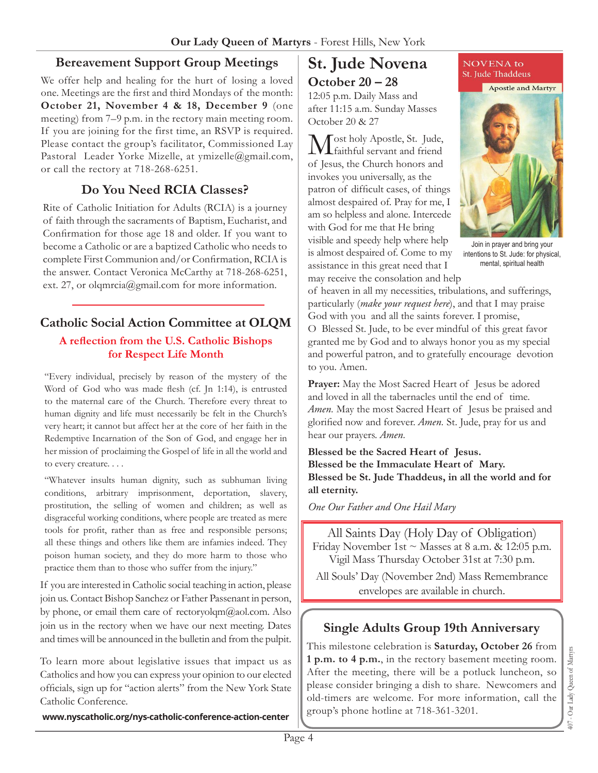#### **Bereavement Support Group Meetings**

We offer help and healing for the hurt of losing a loved one. Meetings are the first and third Mondays of the month: **October 21, November 4 & 18, December 9** (one meeting) from 7–9 p.m. in the rectory main meeting room. If you are joining for the first time, an RSVP is required. Please contact the group's facilitator, Commissioned Lay Pastoral Leader Yorke Mizelle, at ymizelle@gmail.com, or call the rectory at 718-268-6251.

#### **Do You Need RCIA Classes?**

Rite of Catholic Initiation for Adults (RCIA) is a journey of faith through the sacraments of Baptism, Eucharist, and Confirmation for those age 18 and older. If you want to become a Catholic or are a baptized Catholic who needs to complete First Communion and/or Confirmation, RCIA is the answer. Contact Veronica McCarthy at 718-268-6251, ext. 27, or olqmrcia@gmail.com for more information.

## **Catholic Social Action Committee at OLQM**

#### **A reflection from the U.S. Catholic Bishops for Respect Life Month**

"Every individual, precisely by reason of the mystery of the Word of God who was made flesh (cf. Jn 1:14), is entrusted to the maternal care of the Church. Therefore every threat to human dignity and life must necessarily be felt in the Church's very heart; it cannot but affect her at the core of her faith in the Redemptive Incarnation of the Son of God, and engage her in her mission of proclaiming the Gospel of life in all the world and to every creature. . . .

"Whatever insults human dignity, such as subhuman living conditions, arbitrary imprisonment, deportation, slavery, prostitution, the selling of women and children; as well as disgraceful working conditions, where people are treated as mere tools for profit, rather than as free and responsible persons; all these things and others like them are infamies indeed. They poison human society, and they do more harm to those who practice them than to those who suffer from the injury."

If you are interested in Catholic social teaching in action, please join us. Contact Bishop Sanchez or Father Passenant in person, by phone, or email them care of rectoryolqm@aol.com. Also join us in the rectory when we have our next meeting. Dates and times will be announced in the bulletin and from the pulpit.

To learn more about legislative issues that impact us as Catholics and how you can express your opinion to our elected officials, sign up for "action alerts" from the New York State Catholic Conference.

**www.nyscatholic.org/nys-catholic-conference-action-center**

# **St. Jude Novena October 20 – 28**

12:05 p.m. Daily Mass and after 11:15 a.m. Sunday Masses October 20 & 27

Most holy Apostle, St. Jude, faithful servant and friend of Jesus, the Church honors and invokes you universally, as the patron of difficult cases, of things almost despaired of. Pray for me, I am so helpless and alone. Intercede with God for me that He bring visible and speedy help where help is almost despaired of. Come to my assistance in this great need that I

may receive the consolation and help

**NOVENA** to St. Jude Thaddeus

Apostle and Martyr



Join in prayer and bring your intentions to St. Jude: for physical, mental, spiritual health

of heaven in all my necessities, tribulations, and sufferings, particularly (*make your request here*), and that I may praise God with you and all the saints forever. I promise,

O Blessed St. Jude, to be ever mindful of this great favor granted me by God and to always honor you as my special and powerful patron, and to gratefully encourage devotion to you. Amen.

**Prayer:** May the Most Sacred Heart of Jesus be adored and loved in all the tabernacles until the end of time. *Amen.* May the most Sacred Heart of Jesus be praised and glorified now and forever. *Amen.* St. Jude, pray for us and hear our prayers. *Amen.* 

**Blessed be the Sacred Heart of Jesus. Blessed be the Immaculate Heart of Mary. Blessed be St. Jude Thaddeus, in all the world and for all eternity.**

*One Our Father and One Hail Mary* 

All Saints Day (Holy Day of Obligation) Friday November 1st  $\sim$  Masses at 8 a.m. & 12:05 p.m. Vigil Mass Thursday October 31st at 7:30 p.m.

All Souls' Day (November 2nd) Mass Remembrance envelopes are available in church.

#### **Single Adults Group 19th Anniversary**

This milestone celebration is **Saturday, October 26** from **1 p.m. to 4 p.m.**, in the rectory basement meeting room. After the meeting, there will be a potluck luncheon, so please consider bringing a dish to share. Newcomers and old-timers are welcome. For more information, call the group's phone hotline at 718-361-3201.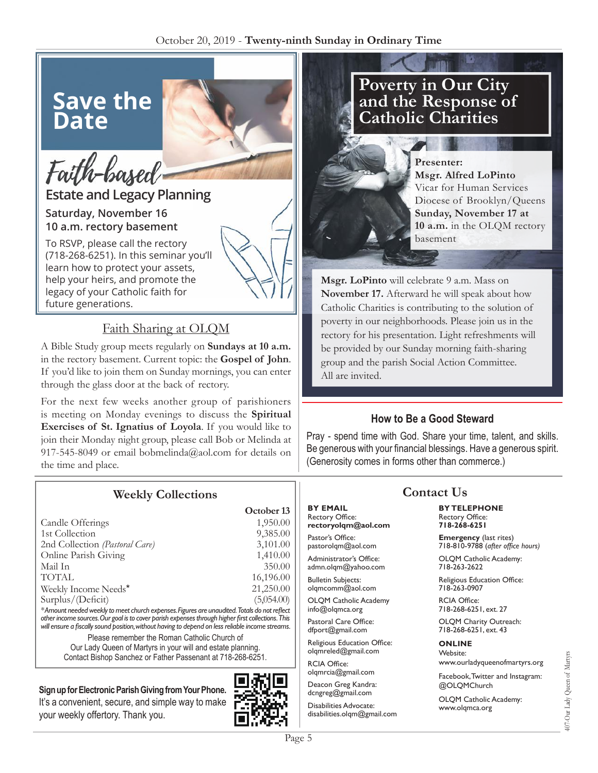# **Save the Date**

# Faith-based

## **Estate and Legacy Planning Saturday, November 16**

# **10 a.m. rectory basement**

To RSVP, please call the rectory (718-268-6251). In this seminar you'll learn how to protect your assets, help your heirs, and promote the legacy of your Catholic faith for future generations.

## Faith Sharing at OLQM

A Bible Study group meets regularly on **Sundays at 10 a.m.**  in the rectory basement. Current topic: the **Gospel of John**. If you'd like to join them on Sunday mornings, you can enter through the glass door at the back of rectory.

For the next few weeks another group of parishioners is meeting on Monday evenings to discuss the **Spiritual Exercises of St. Ignatius of Loyola**. If you would like to join their Monday night group, please call Bob or Melinda at 917-545-8049 or email bobmelinda@aol.com for details on the time and place.

## **Weekly Collections**

| October 13 |
|------------|
| 1,950.00   |
| 9,385.00   |
| 3,101.00   |
| 1,410.00   |
| 350.00     |
| 16,196.00  |
| 21,250.00  |
| (5,054.00) |
|            |

*\* Amount needed weekly to meet church expenses. Figures are unaudited. Totals do not reflect other income sources. Our goal is to cover parish expenses through higher first collections. This will ensure a fiscally sound position, without having to depend on less reliable income streams.*

Please remember the Roman Catholic Church of Our Lady Queen of Martyrs in your will and estate planning. Contact Bishop Sanchez or Father Passenant at 718-268-6251.

### **Sign up for Electronic Parish Giving from Your Phone.**

It's a convenient, secure, and simple way to make your weekly offertory. Thank you.



# **Poverty in Our City and the Response of Catholic Charities**



**Presenter: Msgr. Alfred LoPinto** Vicar for Human Services Diocese of Brooklyn/Queens **Sunday, November 17 at 10 a.m.** in the OLQM rectory basement

**Msgr. LoPinto** will celebrate 9 a.m. Mass on **November 17.** Afterward he will speak about how Catholic Charities is contributing to the solution of poverty in our neighborhoods. Please join us in the rectory for his presentation. Light refreshments will be provided by our Sunday morning faith-sharing group and the parish Social Action Committee. All are invited.

#### **How to Be a Good Steward**

Pray - spend time with God. Share your time, talent, and skills. Be generous with your financial blessings. Have a generous spirit. (Generosity comes in forms other than commerce.)

#### **BY EMAIL** Rectory Office:

**rectoryolqm@aol.com**

Pastor's Office: pastorolqm@aol.com Administrator's Office:

admn.olqm@yahoo.com

Bulletin Subjects: olqmcomm@aol.com

OLQM Catholic Academy info@olqmca.org

Pastoral Care Office: dfport@gmail.com

Religious Education Office: olqmreled@gmail.com

RCIA Office: olqmrcia@gmail.com

Deacon Greg Kandra: dcngreg@gmail.com

Disabilities Advocate: disabilities.olqm@gmail.com

# **Contact Us**

**BY TELEPHONE** Rectory Office: **718-268-6251**

**Emergency** (last rites) 718-810-9788 (*after office hours)*

OLQM Catholic Academy: 718-263-2622

Religious Education Office: 718-263-0907

RCIA Office: 718-268-6251, ext. 27

OLQM Charity Outreach: 718-268-6251, ext. 43

#### **ONLINE**

Website: www.ourladyqueenofmartyrs.org

Facebook, Twitter and Instagram: @OLQMChurch

OLQM Catholic Academy: www.olqmca.org